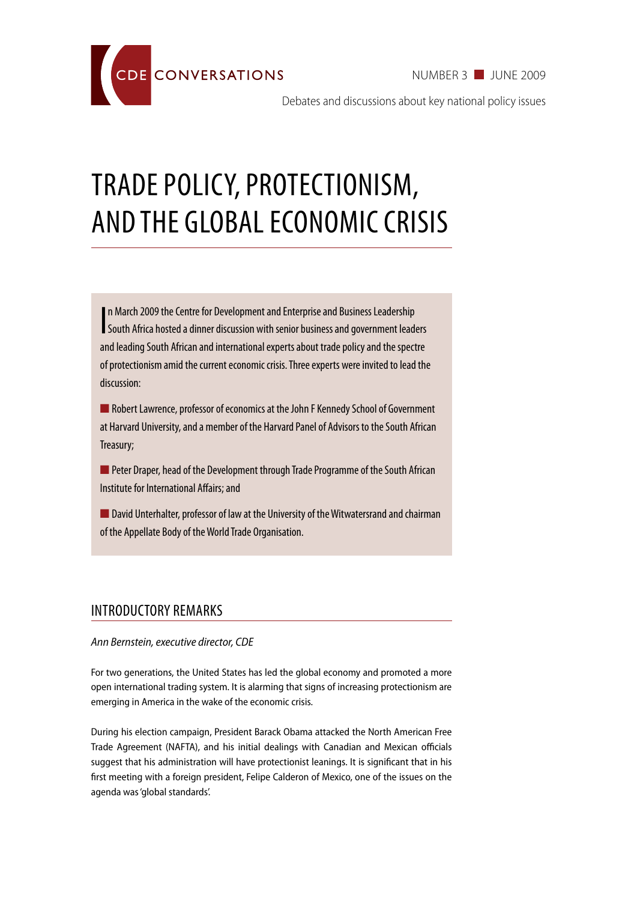NUMBER 3 June 2009



Debates and discussions about key national policy issues

# Trade policy, protectionism, and the global economic crisis

I n March 2009 the Centre for Development and Enterprise and Business Leadership South Africa hosted a dinner discussion with senior business and government leaders and leading South African and international experts about trade policy and the spectre of protectionism amid the current economic crisis. Three experts were invited to lead the discussion:

**n** Robert Lawrence, professor of economics at the John F Kennedy School of Government at Harvard University, and a member of the Harvard Panel of Advisors to the South African Treasury;

**n** Peter Draper, head of the Development through Trade Programme of the South African Institute for International Affairs; and

■ David Unterhalter, professor of law at the University of the Witwatersrand and chairman of the Appellate Body of the World Trade Organisation.

## Introductory remarks

#### *Ann Bernstein, executive director, CDE*

For two generations, the United States has led the global economy and promoted a more open international trading system. It is alarming that signs of increasing protectionism are emerging in America in the wake of the economic crisis.

During his election campaign, President Barack Obama attacked the North American Free Trade Agreement (NAFTA), and his initial dealings with Canadian and Mexican officials suggest that his administration will have protectionist leanings. It is significant that in his first meeting with a foreign president, Felipe Calderon of Mexico, one of the issues on the agenda was 'global standards'.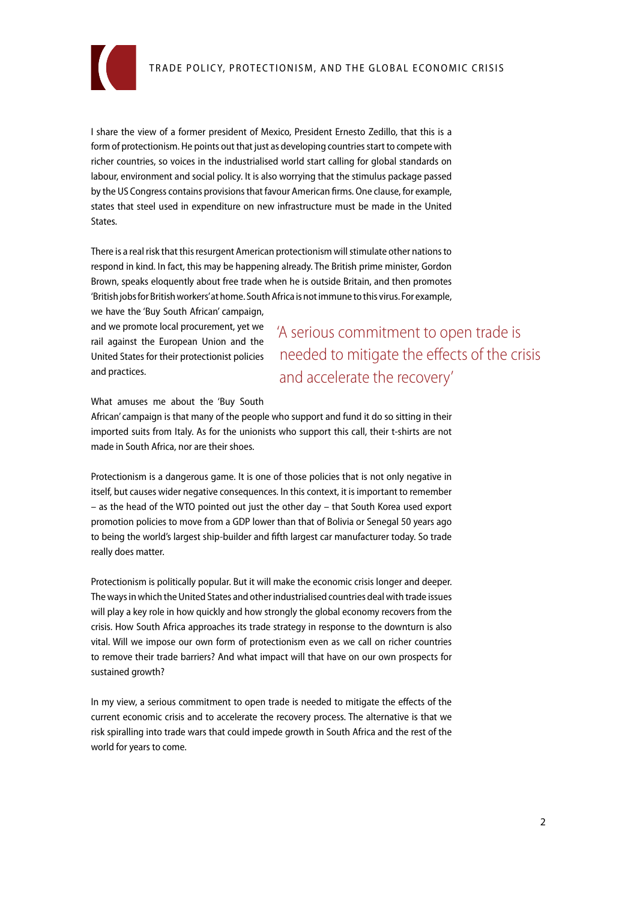

I share the view of a former president of Mexico, President Ernesto Zedillo, that this is a form of protectionism. He points out that just as developing countries start to compete with richer countries, so voices in the industrialised world start calling for global standards on labour, environment and social policy. It is also worrying that the stimulus package passed by the US Congress contains provisions that favour American firms. One clause, for example, states that steel used in expenditure on new infrastructure must be made in the United States.

There is a real risk that this resurgent American protectionism will stimulate other nations to respond in kind. In fact, this may be happening already. The British prime minister, Gordon Brown, speaks eloquently about free trade when he is outside Britain, and then promotes 'British jobs for British workers' at home. South Africa is not immune to this virus. For example,

we have the 'Buy South African' campaign, and we promote local procurement, yet we rail against the European Union and the United States for their protectionist policies and practices.

'A serious commitment to open trade is needed to mitigate the effects of the crisis and accelerate the recovery'

What amuses me about the 'Buy South

African' campaign is that many of the people who support and fund it do so sitting in their imported suits from Italy. As for the unionists who support this call, their t-shirts are not made in South Africa, nor are their shoes.

Protectionism is a dangerous game. It is one of those policies that is not only negative in itself, but causes wider negative consequences. In this context, it is important to remember – as the head of the WTO pointed out just the other day – that South Korea used export promotion policies to move from a GDP lower than that of Bolivia or Senegal 50 years ago to being the world's largest ship-builder and fifth largest car manufacturer today. So trade really does matter.

Protectionism is politically popular. But it will make the economic crisis longer and deeper. The ways in which the United States and other industrialised countries deal with trade issues will play a key role in how quickly and how strongly the global economy recovers from the crisis. How South Africa approaches its trade strategy in response to the downturn is also vital. Will we impose our own form of protectionism even as we call on richer countries to remove their trade barriers? And what impact will that have on our own prospects for sustained growth?

In my view, a serious commitment to open trade is needed to mitigate the effects of the current economic crisis and to accelerate the recovery process. The alternative is that we risk spiralling into trade wars that could impede growth in South Africa and the rest of the world for years to come.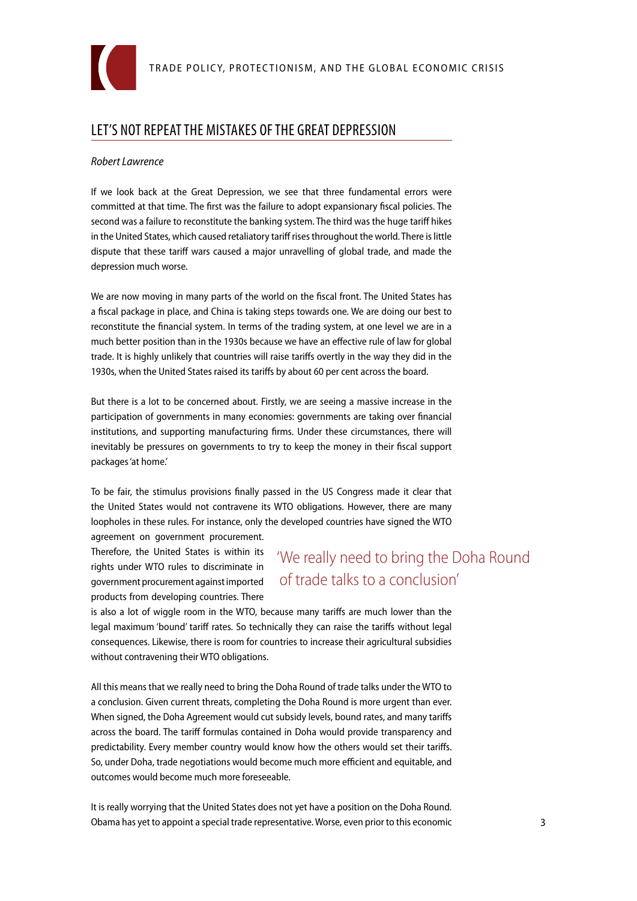

## Let's not repeat the mistakes of the Great Depression

#### *Robert Lawrence*

If we look back at the Great Depression, we see that three fundamental errors were committed at that time. The first was the failure to adopt expansionary fiscal policies. The second was a failure to reconstitute the banking system. The third was the huge tariff hikes in the United States, which caused retaliatory tariff rises throughout the world. There is little dispute that these tariff wars caused a major unravelling of global trade, and made the depression much worse.

We are now moving in many parts of the world on the fiscal front. The United States has a fiscal package in place, and China is taking steps towards one. We are doing our best to reconstitute the financial system. In terms of the trading system, at one level we are in a much better position than in the 1930s because we have an effective rule of law for global trade. It is highly unlikely that countries will raise tariffs overtly in the way they did in the 1930s, when the United States raised its tariffs by about 60 per cent across the board.

But there is a lot to be concerned about. Firstly, we are seeing a massive increase in the participation of governments in many economies: governments are taking over financial institutions, and supporting manufacturing firms. Under these circumstances, there will inevitably be pressures on governments to try to keep the money in their fiscal support packages 'at home.'

To be fair, the stimulus provisions finally passed in the US Congress made it clear that the United States would not contravene its WTO obligations. However, there are many loopholes in these rules. For instance, only the developed countries have signed the WTO agreement on government procurement.

Therefore, the United States is within its rights under WTO rules to discriminate in government procurement against imported products from developing countries. There

## 'We really need to bring the Doha Round of trade talks to a conclusion'

is also a lot of wiggle room in the WTO, because many tariffs are much lower than the legal maximum 'bound' tariff rates. So technically they can raise the tariffs without legal consequences. Likewise, there is room for countries to increase their agricultural subsidies without contravening their WTO obligations.

All this means that we really need to bring the Doha Round of trade talks under the WTO to a conclusion. Given current threats, completing the Doha Round is more urgent than ever. When signed, the Doha Agreement would cut subsidy levels, bound rates, and many tariffs across the board. The tariff formulas contained in Doha would provide transparency and predictability. Every member country would know how the others would set their tariffs. So, under Doha, trade negotiations would become much more efficient and equitable, and outcomes would become much more foreseeable.

It is really worrying that the United States does not yet have a position on the Doha Round. Obama has yet to appoint a special trade representative. Worse, even prior to this economic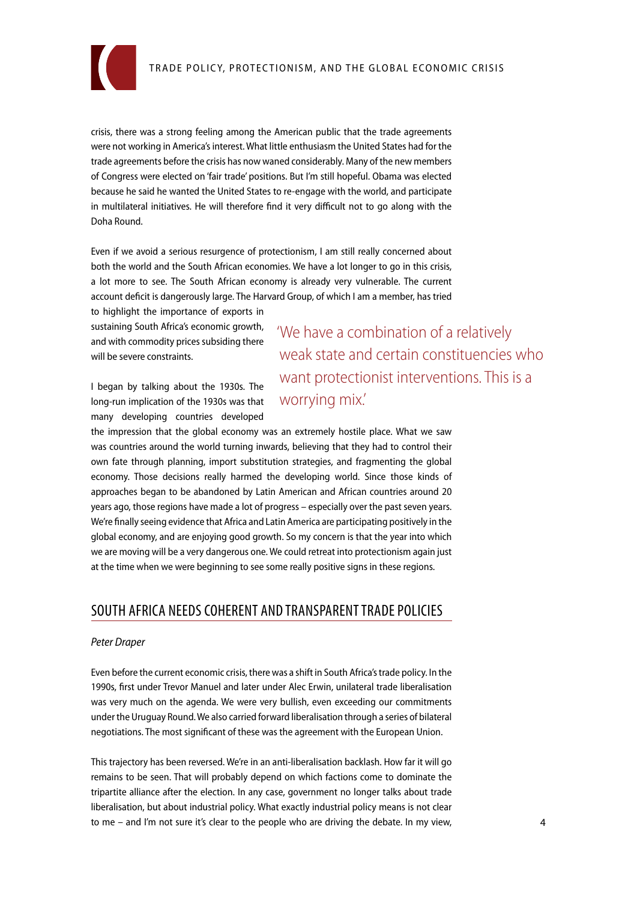

crisis, there was a strong feeling among the American public that the trade agreements were not working in America's interest. What little enthusiasm the United States had for the trade agreements before the crisis has now waned considerably. Many of the new members of Congress were elected on 'fair trade' positions. But I'm still hopeful. Obama was elected because he said he wanted the United States to re-engage with the world, and participate in multilateral initiatives. He will therefore find it very difficult not to go along with the Doha Round.

Even if we avoid a serious resurgence of protectionism, I am still really concerned about both the world and the South African economies. We have a lot longer to go in this crisis, a lot more to see. The South African economy is already very vulnerable. The current account deficit is dangerously large. The Harvard Group, of which I am a member, has tried

to highlight the importance of exports in sustaining South Africa's economic growth, and with commodity prices subsiding there will be severe constraints.

I began by talking about the 1930s. The long-run implication of the 1930s was that many developing countries developed

'We have a combination of a relatively weak state and certain constituencies who want protectionist interventions. This is a worrying mix.'

the impression that the global economy was an extremely hostile place. What we saw was countries around the world turning inwards, believing that they had to control their own fate through planning, import substitution strategies, and fragmenting the global economy. Those decisions really harmed the developing world. Since those kinds of approaches began to be abandoned by Latin American and African countries around 20 years ago, those regions have made a lot of progress – especially over the past seven years. We're finally seeing evidence that Africa and Latin America are participating positively in the global economy, and are enjoying good growth. So my concern is that the year into which we are moving will be a very dangerous one. We could retreat into protectionism again just at the time when we were beginning to see some really positive signs in these regions.

## South Africa needs coherent and transparent trade policies

#### *Peter Draper*

Even before the current economic crisis, there was a shift in South Africa's trade policy. In the 1990s, first under Trevor Manuel and later under Alec Erwin, unilateral trade liberalisation was very much on the agenda. We were very bullish, even exceeding our commitments under the Uruguay Round. We also carried forward liberalisation through a series of bilateral negotiations. The most significant of these was the agreement with the European Union.

This trajectory has been reversed. We're in an anti-liberalisation backlash. How far it will go remains to be seen. That will probably depend on which factions come to dominate the tripartite alliance after the election. In any case, government no longer talks about trade liberalisation, but about industrial policy. What exactly industrial policy means is not clear to me – and I'm not sure it's clear to the people who are driving the debate. In my view,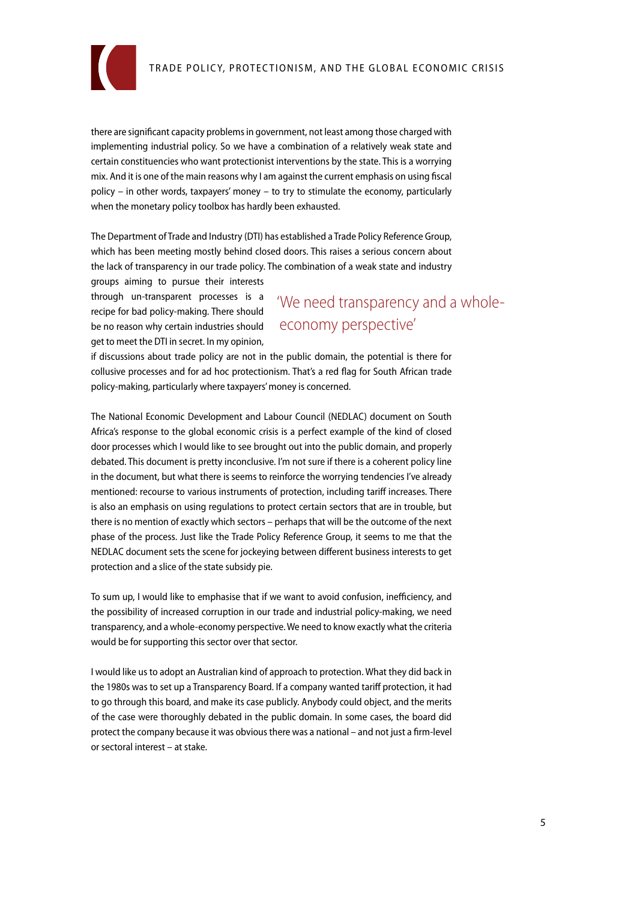

there are significant capacity problems in government, not least among those charged with implementing industrial policy. So we have a combination of a relatively weak state and certain constituencies who want protectionist interventions by the state. This is a worrying mix. And it is one of the main reasons why I am against the current emphasis on using fiscal policy – in other words, taxpayers' money – to try to stimulate the economy, particularly when the monetary policy toolbox has hardly been exhausted.

The Department of Trade and Industry (DTI) has established a Trade Policy Reference Group, which has been meeting mostly behind closed doors. This raises a serious concern about the lack of transparency in our trade policy. The combination of a weak state and industry

groups aiming to pursue their interests through un-transparent processes is a recipe for bad policy-making. There should be no reason why certain industries should get to meet the DTI in secret. In my opinion,

# 'We need transparency and a wholeeconomy perspective'

if discussions about trade policy are not in the public domain, the potential is there for collusive processes and for ad hoc protectionism. That's a red flag for South African trade policy-making, particularly where taxpayers' money is concerned.

The National Economic Development and Labour Council (NEDLAC) document on South Africa's response to the global economic crisis is a perfect example of the kind of closed door processes which I would like to see brought out into the public domain, and properly debated. This document is pretty inconclusive. I'm not sure if there is a coherent policy line in the document, but what there is seems to reinforce the worrying tendencies I've already mentioned: recourse to various instruments of protection, including tariff increases. There is also an emphasis on using regulations to protect certain sectors that are in trouble, but there is no mention of exactly which sectors – perhaps that will be the outcome of the next phase of the process. Just like the Trade Policy Reference Group, it seems to me that the NEDLAC document sets the scene for jockeying between different business interests to get protection and a slice of the state subsidy pie.

To sum up, I would like to emphasise that if we want to avoid confusion, inefficiency, and the possibility of increased corruption in our trade and industrial policy-making, we need transparency, and a whole-economy perspective. We need to know exactly what the criteria would be for supporting this sector over that sector.

I would like us to adopt an Australian kind of approach to protection. What they did back in the 1980s was to set up a Transparency Board. If a company wanted tariff protection, it had to go through this board, and make its case publicly. Anybody could object, and the merits of the case were thoroughly debated in the public domain. In some cases, the board did protect the company because it was obvious there was a national – and not just a firm-level or sectoral interest – at stake.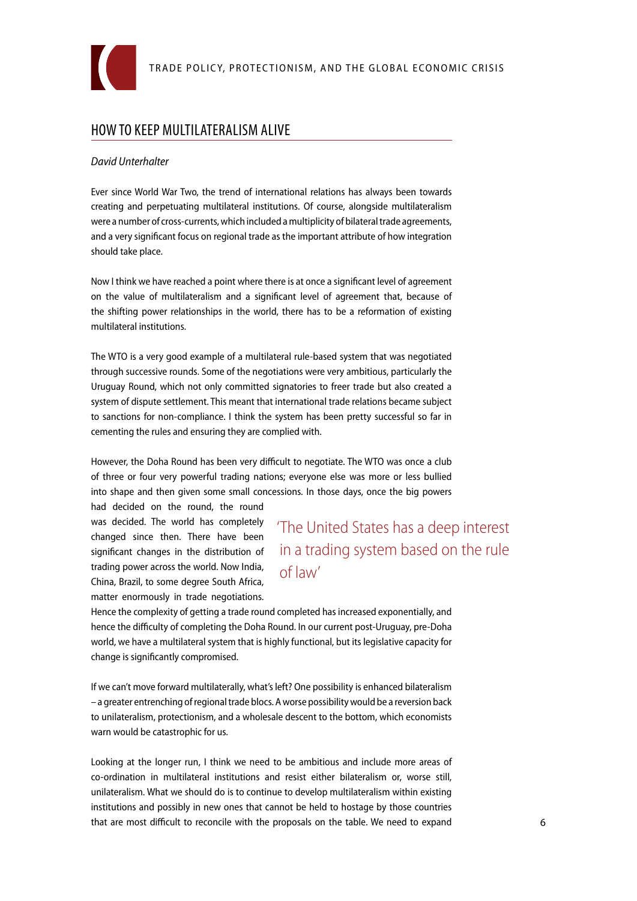

## How to keep multilateralism alive

#### *David Unterhalter*

Ever since World War Two, the trend of international relations has always been towards creating and perpetuating multilateral institutions. Of course, alongside multilateralism were a number of cross-currents, which included a multiplicity of bilateral trade agreements, and a very significant focus on regional trade as the important attribute of how integration should take place.

Now I think we have reached a point where there is at once a significant level of agreement on the value of multilateralism and a significant level of agreement that, because of the shifting power relationships in the world, there has to be a reformation of existing multilateral institutions.

The WTO is a very good example of a multilateral rule-based system that was negotiated through successive rounds. Some of the negotiations were very ambitious, particularly the Uruguay Round, which not only committed signatories to freer trade but also created a system of dispute settlement. This meant that international trade relations became subject to sanctions for non-compliance. I think the system has been pretty successful so far in cementing the rules and ensuring they are complied with.

However, the Doha Round has been very difficult to negotiate. The WTO was once a club of three or four very powerful trading nations; everyone else was more or less bullied into shape and then given some small concessions. In those days, once the big powers

had decided on the round, the round was decided. The world has completely changed since then. There have been significant changes in the distribution of trading power across the world. Now India, China, Brazil, to some degree South Africa, matter enormously in trade negotiations.

'The United States has a deep interest in a trading system based on the rule of law'

Hence the complexity of getting a trade round completed has increased exponentially, and hence the difficulty of completing the Doha Round. In our current post-Uruguay, pre-Doha world, we have a multilateral system that is highly functional, but its legislative capacity for change is significantly compromised.

If we can't move forward multilaterally, what's left? One possibility is enhanced bilateralism – a greater entrenching of regional trade blocs. A worse possibility would be a reversion back to unilateralism, protectionism, and a wholesale descent to the bottom, which economists warn would be catastrophic for us.

Looking at the longer run, I think we need to be ambitious and include more areas of co-ordination in multilateral institutions and resist either bilateralism or, worse still, unilateralism. What we should do is to continue to develop multilateralism within existing institutions and possibly in new ones that cannot be held to hostage by those countries that are most difficult to reconcile with the proposals on the table. We need to expand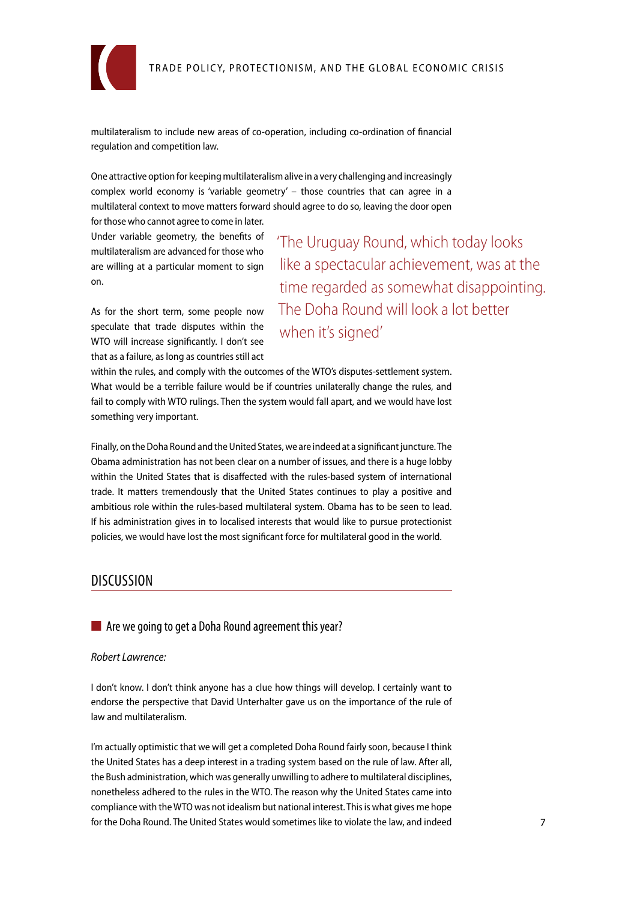

multilateralism to include new areas of co-operation, including co-ordination of financial regulation and competition law.

One attractive option for keeping multilateralism alive in a very challenging and increasingly complex world economy is 'variable geometry' – those countries that can agree in a multilateral context to move matters forward should agree to do so, leaving the door open

for those who cannot agree to come in later. Under variable geometry, the benefits of multilateralism are advanced for those who are willing at a particular moment to sign on.

As for the short term, some people now speculate that trade disputes within the WTO will increase significantly. I don't see that as a failure, as long as countries still act 'The Uruguay Round, which today looks like a spectacular achievement, was at the time regarded as somewhat disappointing. The Doha Round will look a lot better when it's signed'

within the rules, and comply with the outcomes of the WTO's disputes-settlement system. What would be a terrible failure would be if countries unilaterally change the rules, and fail to comply with WTO rulings. Then the system would fall apart, and we would have lost something very important.

Finally, on the Doha Round and the United States, we are indeed at a significant juncture. The Obama administration has not been clear on a number of issues, and there is a huge lobby within the United States that is disaffected with the rules-based system of international trade. It matters tremendously that the United States continues to play a positive and ambitious role within the rules-based multilateral system. Obama has to be seen to lead. If his administration gives in to localised interests that would like to pursue protectionist policies, we would have lost the most significant force for multilateral good in the world.

## **DISCUSSION**

■ Are we going to get a Doha Round agreement this year?

#### *Robert Lawrence:*

I don't know. I don't think anyone has a clue how things will develop. I certainly want to endorse the perspective that David Unterhalter gave us on the importance of the rule of law and multilateralism.

I'm actually optimistic that we will get a completed Doha Round fairly soon, because I think the United States has a deep interest in a trading system based on the rule of law. After all, the Bush administration, which was generally unwilling to adhere to multilateral disciplines, nonetheless adhered to the rules in the WTO. The reason why the United States came into compliance with the WTO was not idealism but national interest. This is what gives me hope for the Doha Round. The United States would sometimes like to violate the law, and indeed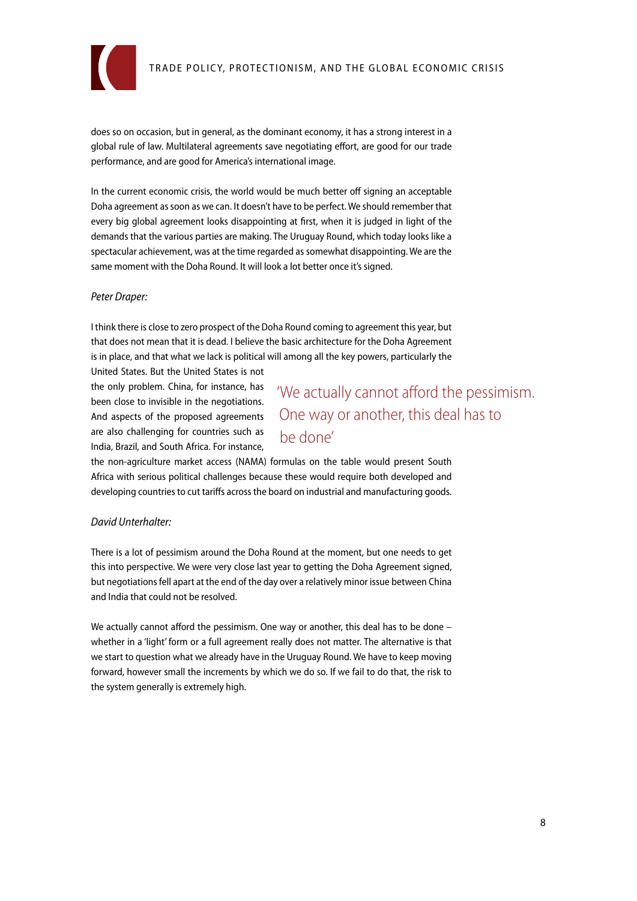

does so on occasion, but in general, as the dominant economy, it has a strong interest in a global rule of law. Multilateral agreements save negotiating effort, are good for our trade performance, and are good for America's international image.

In the current economic crisis, the world would be much better off signing an acceptable Doha agreement as soon as we can. It doesn't have to be perfect. We should remember that every big global agreement looks disappointing at first, when it is judged in light of the demands that the various parties are making. The Uruguay Round, which today looks like a spectacular achievement, was at the time regarded as somewhat disappointing. We are the same moment with the Doha Round. It will look a lot better once it's signed.

#### *Peter Draper:*

I think there is close to zero prospect of the Doha Round coming to agreement this year, but that does not mean that it is dead. I believe the basic architecture for the Doha Agreement is in place, and that what we lack is political will among all the key powers, particularly the

United States. But the United States is not the only problem. China, for instance, has been close to invisible in the negotiations. And aspects of the proposed agreements are also challenging for countries such as India, Brazil, and South Africa. For instance,

'We actually cannot afford the pessimism. One way or another, this deal has to be done'

the non-agriculture market access (NAMA) formulas on the table would present South Africa with serious political challenges because these would require both developed and developing countries to cut tariffs across the board on industrial and manufacturing goods.

#### *David Unterhalter:*

There is a lot of pessimism around the Doha Round at the moment, but one needs to get this into perspective. We were very close last year to getting the Doha Agreement signed, but negotiations fell apart at the end of the day over a relatively minor issue between China and India that could not be resolved.

We actually cannot afford the pessimism. One way or another, this deal has to be done whether in a 'light' form or a full agreement really does not matter. The alternative is that we start to question what we already have in the Uruguay Round. We have to keep moving forward, however small the increments by which we do so. If we fail to do that, the risk to the system generally is extremely high.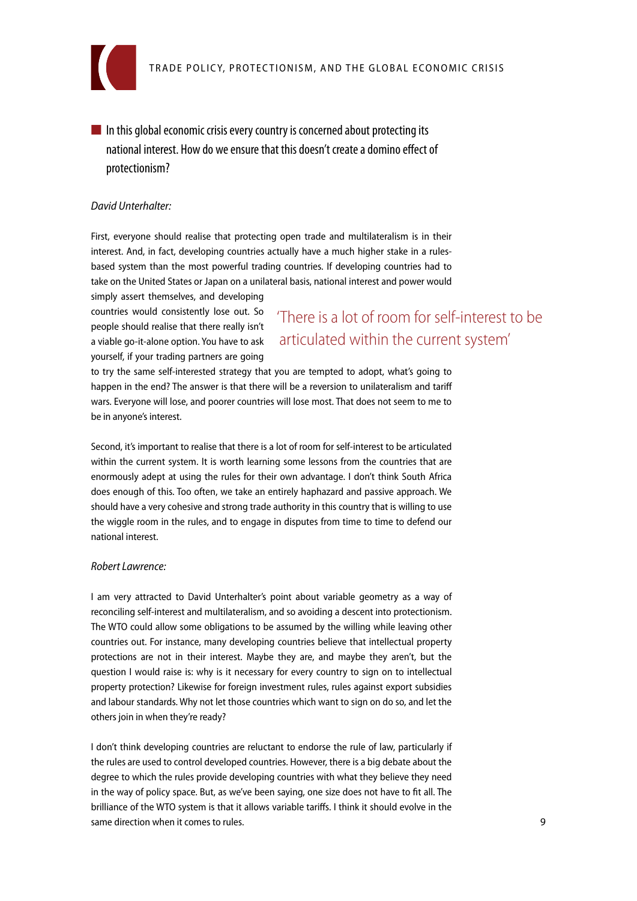

 $\blacksquare$  In this global economic crisis every country is concerned about protecting its national interest. How do we ensure that this doesn't create a domino effect of protectionism?

#### *David Unterhalter:*

First, everyone should realise that protecting open trade and multilateralism is in their interest. And, in fact, developing countries actually have a much higher stake in a rulesbased system than the most powerful trading countries. If developing countries had to take on the United States or Japan on a unilateral basis, national interest and power would simply assert themselves, and developing

countries would consistently lose out. So people should realise that there really isn't a viable go-it-alone option. You have to ask yourself, if your trading partners are going

'There is a lot of room for self-interest to be articulated within the current system'

to try the same self-interested strategy that you are tempted to adopt, what's going to happen in the end? The answer is that there will be a reversion to unilateralism and tariff wars. Everyone will lose, and poorer countries will lose most. That does not seem to me to be in anyone's interest.

Second, it's important to realise that there is a lot of room for self-interest to be articulated within the current system. It is worth learning some lessons from the countries that are enormously adept at using the rules for their own advantage. I don't think South Africa does enough of this. Too often, we take an entirely haphazard and passive approach. We should have a very cohesive and strong trade authority in this country that is willing to use the wiggle room in the rules, and to engage in disputes from time to time to defend our national interest.

#### *Robert Lawrence:*

I am very attracted to David Unterhalter's point about variable geometry as a way of reconciling self-interest and multilateralism, and so avoiding a descent into protectionism. The WTO could allow some obligations to be assumed by the willing while leaving other countries out. For instance, many developing countries believe that intellectual property protections are not in their interest. Maybe they are, and maybe they aren't, but the question I would raise is: why is it necessary for every country to sign on to intellectual property protection? Likewise for foreign investment rules, rules against export subsidies and labour standards. Why not let those countries which want to sign on do so, and let the others join in when they're ready?

I don't think developing countries are reluctant to endorse the rule of law, particularly if the rules are used to control developed countries. However, there is a big debate about the degree to which the rules provide developing countries with what they believe they need in the way of policy space. But, as we've been saying, one size does not have to fit all. The brilliance of the WTO system is that it allows variable tariffs. I think it should evolve in the same direction when it comes to rules.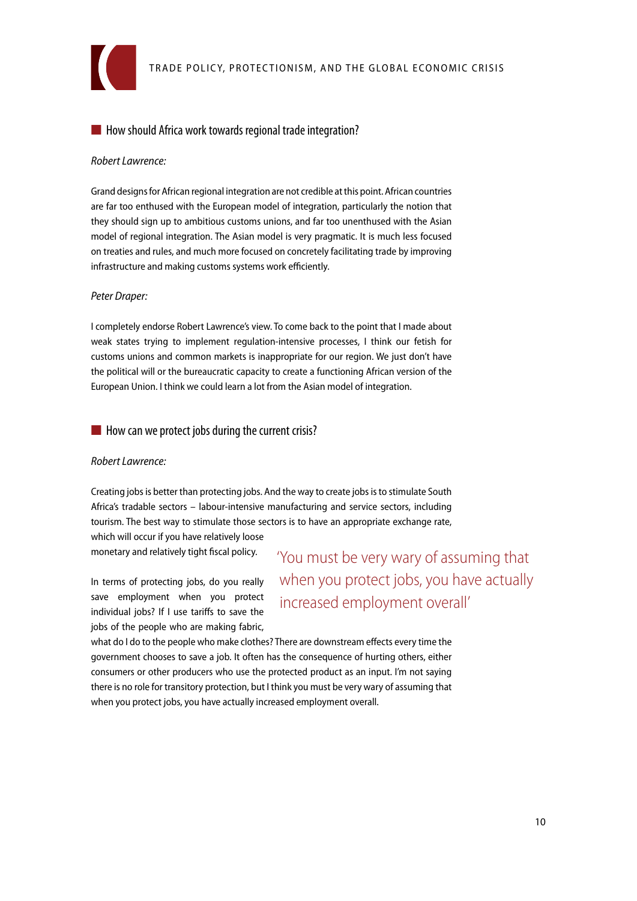

### ■ How should Africa work towards regional trade integration?

#### *Robert Lawrence:*

Grand designs for African regional integration are not credible at this point. African countries are far too enthused with the European model of integration, particularly the notion that they should sign up to ambitious customs unions, and far too unenthused with the Asian model of regional integration. The Asian model is very pragmatic. It is much less focused on treaties and rules, and much more focused on concretely facilitating trade by improving infrastructure and making customs systems work efficiently.

#### *Peter Draper:*

I completely endorse Robert Lawrence's view. To come back to the point that I made about weak states trying to implement regulation-intensive processes, I think our fetish for customs unions and common markets is inappropriate for our region. We just don't have the political will or the bureaucratic capacity to create a functioning African version of the European Union. I think we could learn a lot from the Asian model of integration.

#### $\blacksquare$  How can we protect jobs during the current crisis?

#### *Robert Lawrence:*

Creating jobs is better than protecting jobs. And the way to create jobs is to stimulate South Africa's tradable sectors – labour-intensive manufacturing and service sectors, including tourism. The best way to stimulate those sectors is to have an appropriate exchange rate, which will occur if you have relatively loose

monetary and relatively tight fiscal policy.

In terms of protecting jobs, do you really save employment when you protect individual jobs? If I use tariffs to save the jobs of the people who are making fabric,

'You must be very wary of assuming that when you protect jobs, you have actually increased employment overall'

what do I do to the people who make clothes? There are downstream effects every time the government chooses to save a job. It often has the consequence of hurting others, either consumers or other producers who use the protected product as an input. I'm not saying there is no role for transitory protection, but I think you must be very wary of assuming that when you protect jobs, you have actually increased employment overall.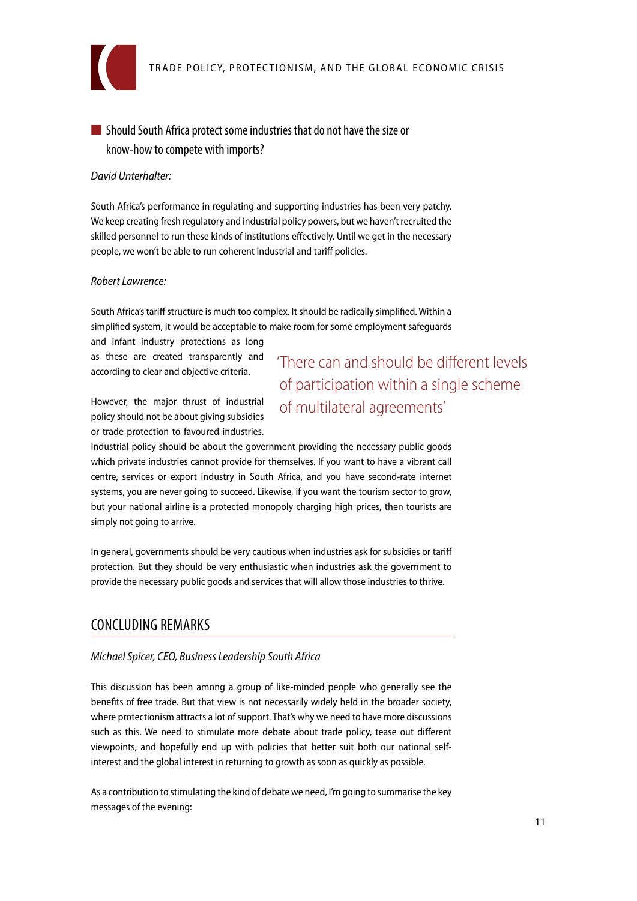

## ■ Should South Africa protect some industries that do not have the size or know-how to compete with imports?

#### *David Unterhalter:*

South Africa's performance in regulating and supporting industries has been very patchy. We keep creating fresh regulatory and industrial policy powers, but we haven't recruited the skilled personnel to run these kinds of institutions effectively. Until we get in the necessary people, we won't be able to run coherent industrial and tariff policies.

#### *Robert Lawrence:*

South Africa's tariff structure is much too complex. It should be radically simplified. Within a simplified system, it would be acceptable to make room for some employment safeguards

and infant industry protections as long as these are created transparently and according to clear and objective criteria.

'There can and should be different levels of participation within a single scheme of multilateral agreements'

However, the major thrust of industrial policy should not be about giving subsidies or trade protection to favoured industries.

Industrial policy should be about the government providing the necessary public goods which private industries cannot provide for themselves. If you want to have a vibrant call centre, services or export industry in South Africa, and you have second-rate internet systems, you are never going to succeed. Likewise, if you want the tourism sector to grow, but your national airline is a protected monopoly charging high prices, then tourists are simply not going to arrive.

In general, governments should be very cautious when industries ask for subsidies or tariff protection. But they should be very enthusiastic when industries ask the government to provide the necessary public goods and services that will allow those industries to thrive.

## Concluding remarks

#### *Michael Spicer, CEO, Business Leadership South Africa*

This discussion has been among a group of like-minded people who generally see the benefits of free trade. But that view is not necessarily widely held in the broader society, where protectionism attracts a lot of support. That's why we need to have more discussions such as this. We need to stimulate more debate about trade policy, tease out different viewpoints, and hopefully end up with policies that better suit both our national selfinterest and the global interest in returning to growth as soon as quickly as possible.

As a contribution to stimulating the kind of debate we need, I'm going to summarise the key messages of the evening: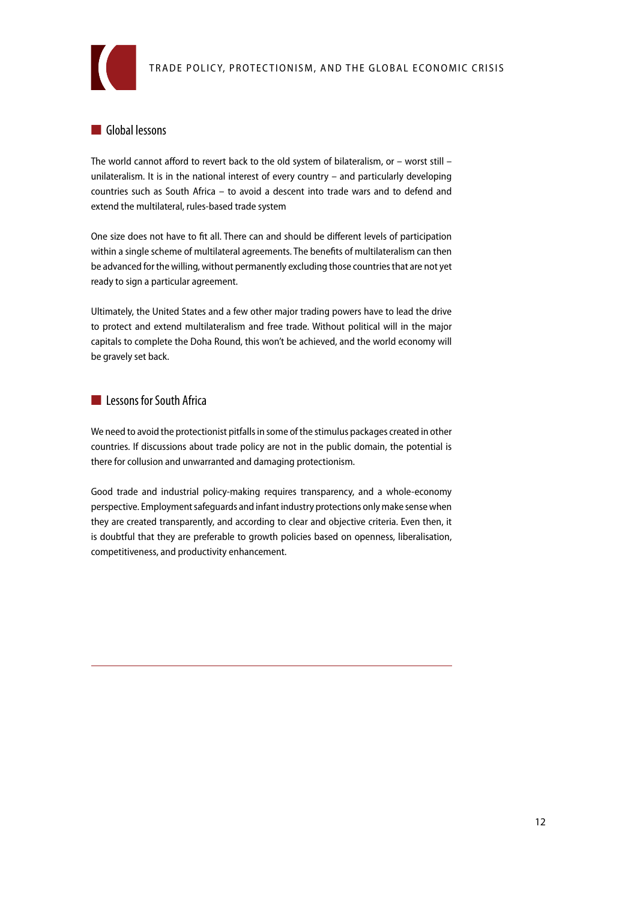

## ■ Global lessons

The world cannot afford to revert back to the old system of bilateralism, or – worst still – unilateralism. It is in the national interest of every country – and particularly developing countries such as South Africa – to avoid a descent into trade wars and to defend and extend the multilateral, rules-based trade system

One size does not have to fit all. There can and should be different levels of participation within a single scheme of multilateral agreements. The benefits of multilateralism can then be advanced for the willing, without permanently excluding those countries that are not yet ready to sign a particular agreement.

Ultimately, the United States and a few other major trading powers have to lead the drive to protect and extend multilateralism and free trade. Without political will in the major capitals to complete the Doha Round, this won't be achieved, and the world economy will be gravely set back.

#### ■ Lessons for South Africa

We need to avoid the protectionist pitfalls in some of the stimulus packages created in other countries. If discussions about trade policy are not in the public domain, the potential is there for collusion and unwarranted and damaging protectionism.

Good trade and industrial policy-making requires transparency, and a whole-economy perspective. Employment safeguards and infant industry protections only make sense when they are created transparently, and according to clear and objective criteria. Even then, it is doubtful that they are preferable to growth policies based on openness, liberalisation, competitiveness, and productivity enhancement.